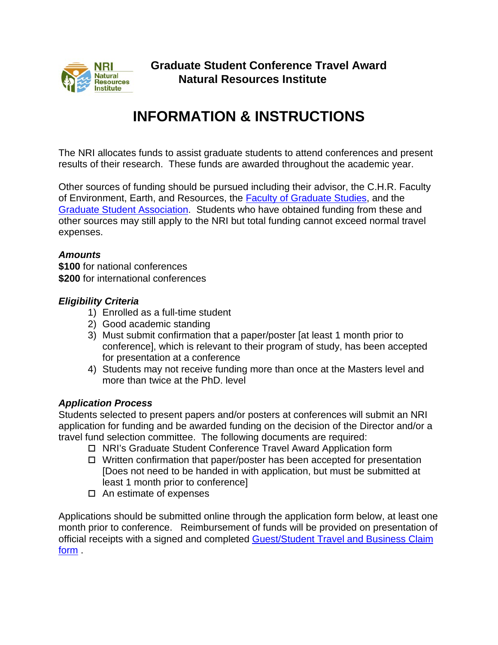

# **INFORMATION & INSTRUCTIONS**

The NRI allocates funds to assist graduate students to attend conferences and present results of their research. These funds are awarded throughout the academic year.

Other sources of funding should be pursued including their advisor, the C.H.R. Faculty of Environment, Earth, and Resources, the **Faculty of Graduate Studies**, and the [Graduate Student Association.](http://umgsa.ca/) Students who have obtained funding from these and other sources may still apply to the NRI but total funding cannot exceed normal travel expenses.

### *Amounts*

**\$100** for national conferences **\$200** for international conferences

### *Eligibility Criteria*

- 1) Enrolled as a full-time student
- 2) Good academic standing
- 3) Must submit confirmation that a paper/poster [at least 1 month prior to conference], which is relevant to their program of study, has been accepted for presentation at a conference
- 4) Students may not receive funding more than once at the Masters level and more than twice at the PhD. level

## *Application Process*

Students selected to present papers and/or posters at conferences will submit an NRI application for funding and be awarded funding on the decision of the Director and/or a travel fund selection committee. The following documents are required:

- □ NRI's Graduate Student Conference Travel Award Application form
- $\Box$  Written confirmation that paper/poster has been accepted for presentation [Does not need to be handed in with application, but must be submitted at least 1 month prior to conference]
- $\Box$  An estimate of expenses

Applications should be submitted online through the application form below, at least one month prior to conference. Reimbursement of funds will be provided on presentation of official receipts with a signed and completed [Guest/Student Travel and Business Claim](https://umanitoba.ca/admin/financial_services/media/Guest_Student_Travel_and_Business_Expense_Claim_form.pdf)  [form](https://umanitoba.ca/admin/financial_services/media/Guest_Student_Travel_and_Business_Expense_Claim_form.pdf) .